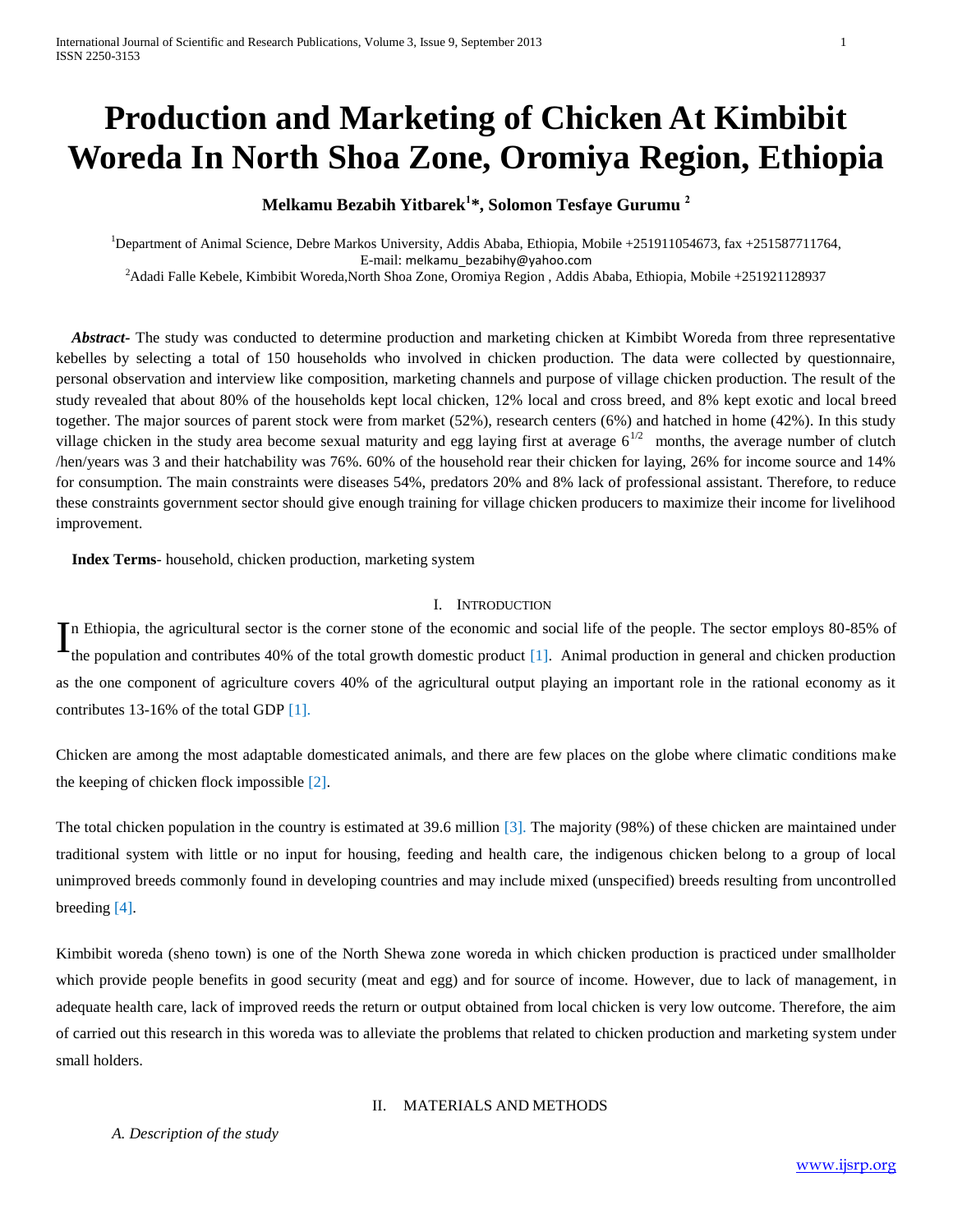# **Production and Marketing of Chicken At Kimbibit Woreda In North Shoa Zone, Oromiya Region, Ethiopia**

## **Melkamu Bezabih Yitbarek<sup>1</sup> \*, Solomon Tesfaye Gurumu <sup>2</sup>**

<sup>1</sup>Department of Animal Science, Debre Markos University, Addis Ababa, Ethiopia, Mobile +251911054673, fax +251587711764, E-mail: [melkamu\\_bezabihy@yahoo.com](mailto:melkamu_bezabihy@yahoo.com)

<sup>2</sup>Adadi Falle Kebele, Kimbibit Woreda,North Shoa Zone, Oromiya Region , Addis Ababa, Ethiopia, Mobile +251921128937

 *Abstract-* The study was conducted to determine production and marketing chicken at Kimbibt Woreda from three representative kebelles by selecting a total of 150 households who involved in chicken production. The data were collected by questionnaire, personal observation and interview like composition, marketing channels and purpose of village chicken production. The result of the study revealed that about 80% of the households kept local chicken, 12% local and cross breed, and 8% kept exotic and local breed together. The major sources of parent stock were from market (52%), research centers (6%) and hatched in home (42%). In this study village chicken in the study area become sexual maturity and egg laying first at average  $6^{1/2}$  months, the average number of clutch /hen/years was 3 and their hatchability was 76%. 60% of the household rear their chicken for laying, 26% for income source and 14% for consumption. The main constraints were diseases 54%, predators 20% and 8% lack of professional assistant. Therefore, to reduce these constraints government sector should give enough training for village chicken producers to maximize their income for livelihood improvement.

 **Index Terms**- household, chicken production, marketing system

#### I. INTRODUCTION

In Ethiopia, the agricultural sector is the corner stone of the economic and social life of the people. The sector employs 80-85% of the population and contributes 40% of the total growth domestic product [1]. Animal prod the population and contributes 40% of the total growth domestic product [1]. Animal production in general and chicken production as the one component of agriculture covers 40% of the agricultural output playing an important role in the rational economy as it contributes 13-16% of the total GDP [1].

Chicken are among the most adaptable domesticated animals, and there are few places on the globe where climatic conditions make the keeping of chicken flock impossible [2].

The total chicken population in the country is estimated at 39.6 million [3]. The majority (98%) of these chicken are maintained under traditional system with little or no input for housing, feeding and health care, the indigenous chicken belong to a group of local unimproved breeds commonly found in developing countries and may include mixed (unspecified) breeds resulting from uncontrolled breeding [4].

Kimbibit woreda (sheno town) is one of the North Shewa zone woreda in which chicken production is practiced under smallholder which provide people benefits in good security (meat and egg) and for source of income. However, due to lack of management, in adequate health care, lack of improved reeds the return or output obtained from local chicken is very low outcome. Therefore, the aim of carried out this research in this woreda was to alleviate the problems that related to chicken production and marketing system under small holders.

## II. MATERIALS AND METHODS

*A. Description of the study*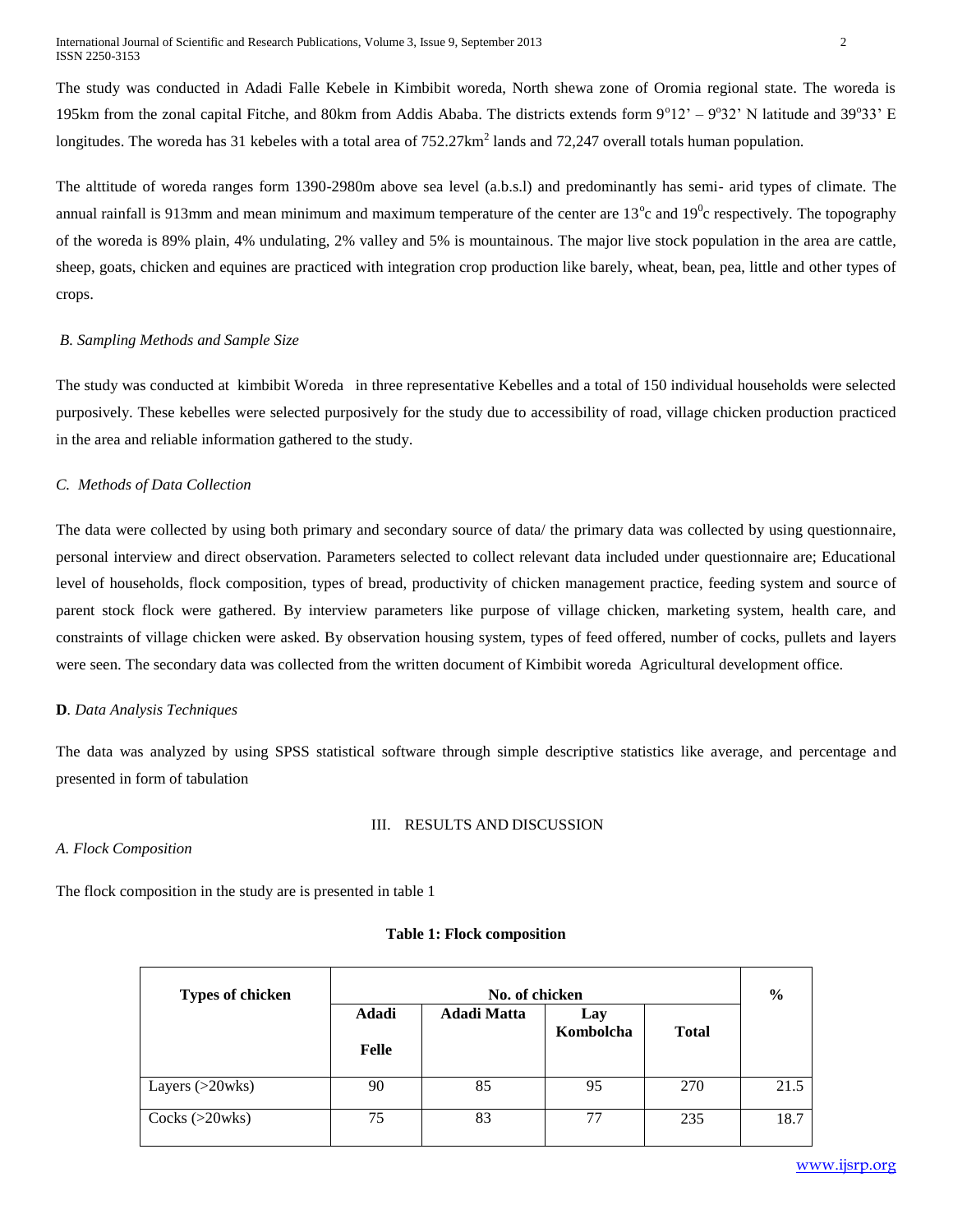The study was conducted in Adadi Falle Kebele in Kimbibit woreda, North shewa zone of Oromia regional state. The woreda is 195km from the zonal capital Fitche, and 80km from Addis Ababa. The districts extends form  $9^{\circ}12' - 9^{\circ}32'$  N latitude and 39°33' E longitudes. The woreda has 31 kebeles with a total area of  $752.27 \text{km}^2$  lands and  $72.247$  overall totals human population.

The alttitude of woreda ranges form 1390-2980m above sea level (a.b.s.l) and predominantly has semi- arid types of climate. The annual rainfall is 913mm and mean minimum and maximum temperature of the center are 13<sup>o</sup>c and 19<sup>0</sup>c respectively. The topography of the woreda is 89% plain, 4% undulating, 2% valley and 5% is mountainous. The major live stock population in the area are cattle, sheep, goats, chicken and equines are practiced with integration crop production like barely, wheat, bean, pea, little and other types of crops.

#### *B. Sampling Methods and Sample Size*

The study was conducted at kimbibit Woreda in three representative Kebelles and a total of 150 individual households were selected purposively. These kebelles were selected purposively for the study due to accessibility of road, village chicken production practiced in the area and reliable information gathered to the study.

## *C. Methods of Data Collection*

The data were collected by using both primary and secondary source of data/ the primary data was collected by using questionnaire, personal interview and direct observation. Parameters selected to collect relevant data included under questionnaire are; Educational level of households, flock composition, types of bread, productivity of chicken management practice, feeding system and source of parent stock flock were gathered. By interview parameters like purpose of village chicken, marketing system, health care, and constraints of village chicken were asked. By observation housing system, types of feed offered, number of cocks, pullets and layers were seen. The secondary data was collected from the written document of Kimbibit woreda Agricultural development office.

## **D***. Data Analysis Techniques*

The data was analyzed by using SPSS statistical software through simple descriptive statistics like average, and percentage and presented in form of tabulation

#### III. RESULTS AND DISCUSSION

## *A. Flock Composition*

The flock composition in the study are is presented in table 1

#### **Table 1: Flock composition**

| <b>Types of chicken</b> | No. of chicken        |                    |                  |              |      |  |  |  |
|-------------------------|-----------------------|--------------------|------------------|--------------|------|--|--|--|
|                         | <b>Adadi</b><br>Felle | <b>Adadi Matta</b> | Lay<br>Kombolcha | <b>Total</b> |      |  |  |  |
| Layers $(>20$ wks)      | 90                    | 85                 | 95               | 270          | 21.5 |  |  |  |
| Cocks $(>20$ wks)       | 75                    | 83                 | 77               | 235          | 18.7 |  |  |  |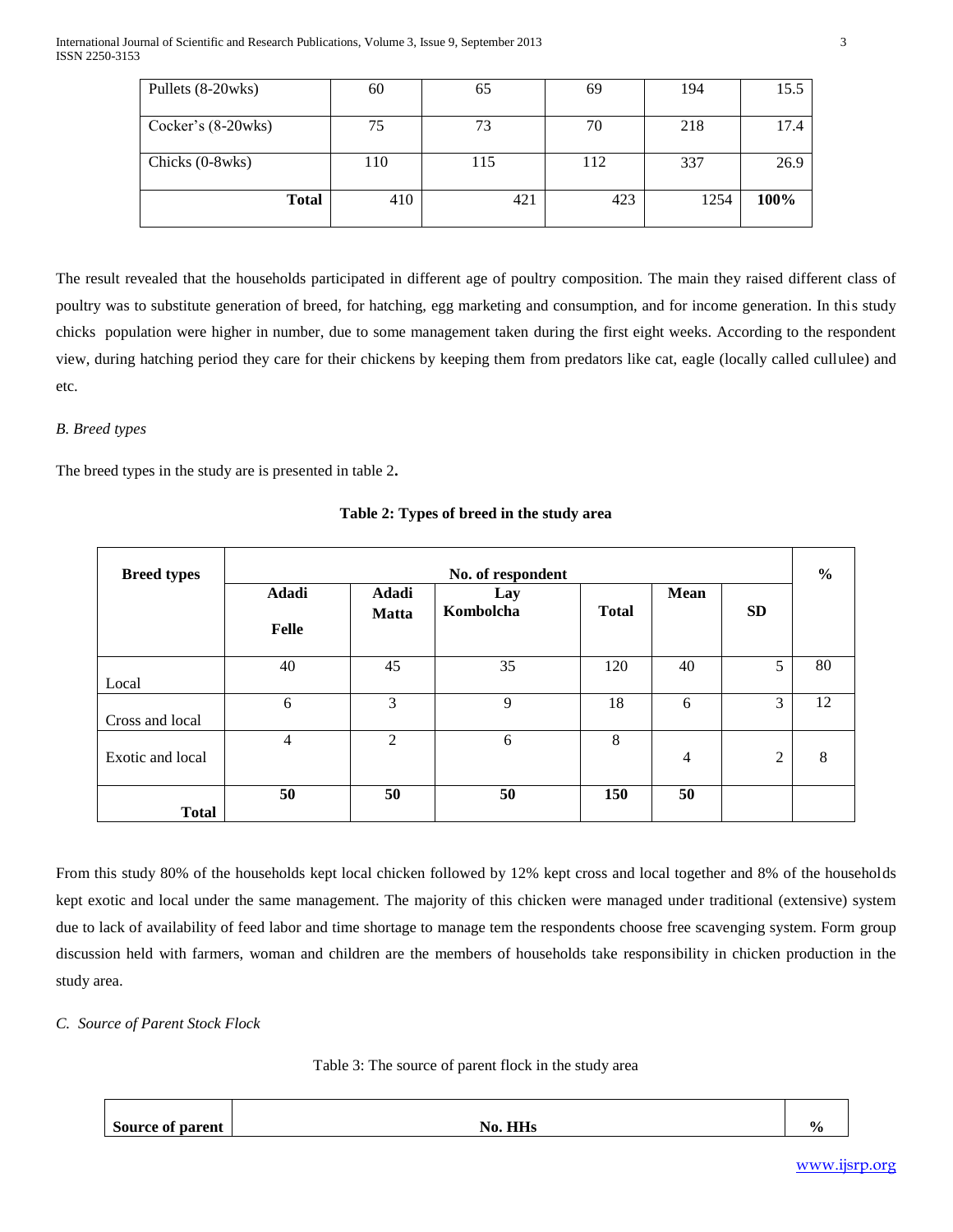| Pullets (8-20wks)    | 60  | 65  | 69  | 194  | 15.5 |
|----------------------|-----|-----|-----|------|------|
| Cocker's $(8-20wks)$ | 75  | 73  | 70  | 218  | 17.4 |
| Chicks (0-8wks)      | 110 | 115 | 112 | 337  | 26.9 |
| <b>Total</b>         | 410 | 421 | 423 | 1254 | 100% |

The result revealed that the households participated in different age of poultry composition. The main they raised different class of poultry was to substitute generation of breed, for hatching, egg marketing and consumption, and for income generation. In this study chicks population were higher in number, due to some management taken during the first eight weeks. According to the respondent view, during hatching period they care for their chickens by keeping them from predators like cat, eagle (locally called cullulee) and etc.

## *B. Breed types*

The breed types in the study are is presented in table 2**.**

| <b>Breed types</b> | No. of respondent     |                       |                  |              |             |           |    |  |  |
|--------------------|-----------------------|-----------------------|------------------|--------------|-------------|-----------|----|--|--|
|                    | Adadi<br><b>Felle</b> | Adadi<br><b>Matta</b> | Lay<br>Kombolcha | <b>Total</b> | <b>Mean</b> | <b>SD</b> |    |  |  |
| Local              | 40                    | 45                    | 35               | 120          | 40          | 5         | 80 |  |  |
| Cross and local    | 6                     | 3                     | 9                | 18           | 6           | 3         | 12 |  |  |
| Exotic and local   | $\overline{4}$        | $\overline{2}$        | 6                | 8            | 4           | 2         | 8  |  |  |
| <b>Total</b>       | 50                    | 50                    | 50               | 150          | 50          |           |    |  |  |

**Table 2: Types of breed in the study area**

From this study 80% of the households kept local chicken followed by 12% kept cross and local together and 8% of the households kept exotic and local under the same management. The majority of this chicken were managed under traditional (extensive) system due to lack of availability of feed labor and time shortage to manage tem the respondents choose free scavenging system. Form group discussion held with farmers, woman and children are the members of households take responsibility in chicken production in the study area.

*C. Source of Parent Stock Flock* 

Table 3: The source of parent flock in the study area

| <b>Source of parent</b> | . HHs<br>No. | $\%$ |
|-------------------------|--------------|------|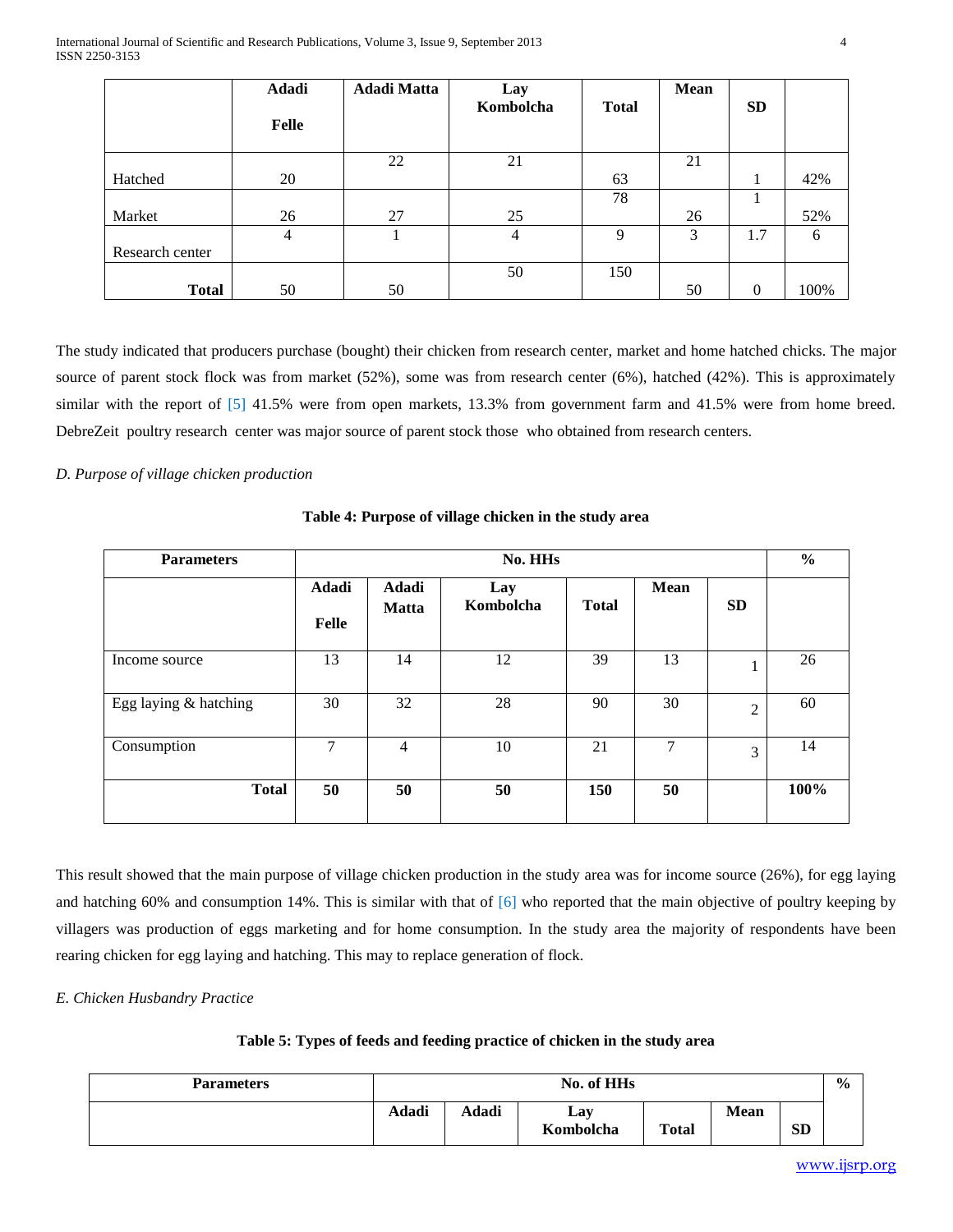|                 | <b>Adadi</b>   | <b>Adadi Matta</b> | Lay       |              | <b>Mean</b> |           |      |
|-----------------|----------------|--------------------|-----------|--------------|-------------|-----------|------|
|                 | <b>Felle</b>   |                    | Kombolcha | <b>Total</b> |             | <b>SD</b> |      |
|                 |                | 22                 | 21        |              | 21          |           |      |
| Hatched         | 20             |                    |           | 63           |             |           | 42%  |
|                 |                |                    |           | 78           |             |           |      |
| Market          | 26             | 27                 | 25        |              | 26          |           | 52%  |
|                 | $\overline{4}$ |                    | 4         | 9            | 3           | 1.7       | 6    |
| Research center |                |                    |           |              |             |           |      |
|                 |                |                    | 50        | 150          |             |           |      |
| <b>Total</b>    | 50             | 50                 |           |              | 50          | $\Omega$  | 100% |

The study indicated that producers purchase (bought) their chicken from research center, market and home hatched chicks. The major source of parent stock flock was from market (52%), some was from research center (6%), hatched (42%). This is approximately similar with the report of  $\begin{bmatrix} 5 \end{bmatrix}$  41.5% were from open markets, 13.3% from government farm and 41.5% were from home breed. DebreZeit poultry research center was major source of parent stock those who obtained from research centers.

## *D. Purpose of village chicken production*

**Table 4: Purpose of village chicken in the study area**

| <b>Parameters</b>     | No. HHs               |                       |                  |              |             |                |      |  |  |
|-----------------------|-----------------------|-----------------------|------------------|--------------|-------------|----------------|------|--|--|
|                       | Adadi<br><b>Felle</b> | Adadi<br><b>Matta</b> | Lay<br>Kombolcha | <b>Total</b> | <b>Mean</b> | <b>SD</b>      |      |  |  |
| Income source         | 13                    | 14                    | 12               | 39           | 13          |                | 26   |  |  |
| Egg laying & hatching | 30                    | 32                    | 28               | 90           | 30          | $\overline{2}$ | 60   |  |  |
| Consumption           | $\tau$                | $\overline{4}$        | 10               | 21           | 7           | 3              | 14   |  |  |
| <b>Total</b>          | 50                    | 50                    | 50               | 150          | 50          |                | 100% |  |  |

This result showed that the main purpose of village chicken production in the study area was for income source (26%), for egg laying and hatching 60% and consumption 14%. This is similar with that of  $[6]$  who reported that the main objective of poultry keeping by villagers was production of eggs marketing and for home consumption. In the study area the majority of respondents have been rearing chicken for egg laying and hatching. This may to replace generation of flock.

*E. Chicken Husbandry Practice* 

|  |  |  |  |  | Table 5: Types of feeds and feeding practice of chicken in the study area |
|--|--|--|--|--|---------------------------------------------------------------------------|
|--|--|--|--|--|---------------------------------------------------------------------------|

| <b>Parameters</b> |       | No. of HHs |           |              |             |           |  |  |
|-------------------|-------|------------|-----------|--------------|-------------|-----------|--|--|
|                   | Adadi | Adadi      | Lay       |              | <b>Mean</b> | <b>SD</b> |  |  |
|                   |       |            | Kombolcha | <b>Total</b> |             |           |  |  |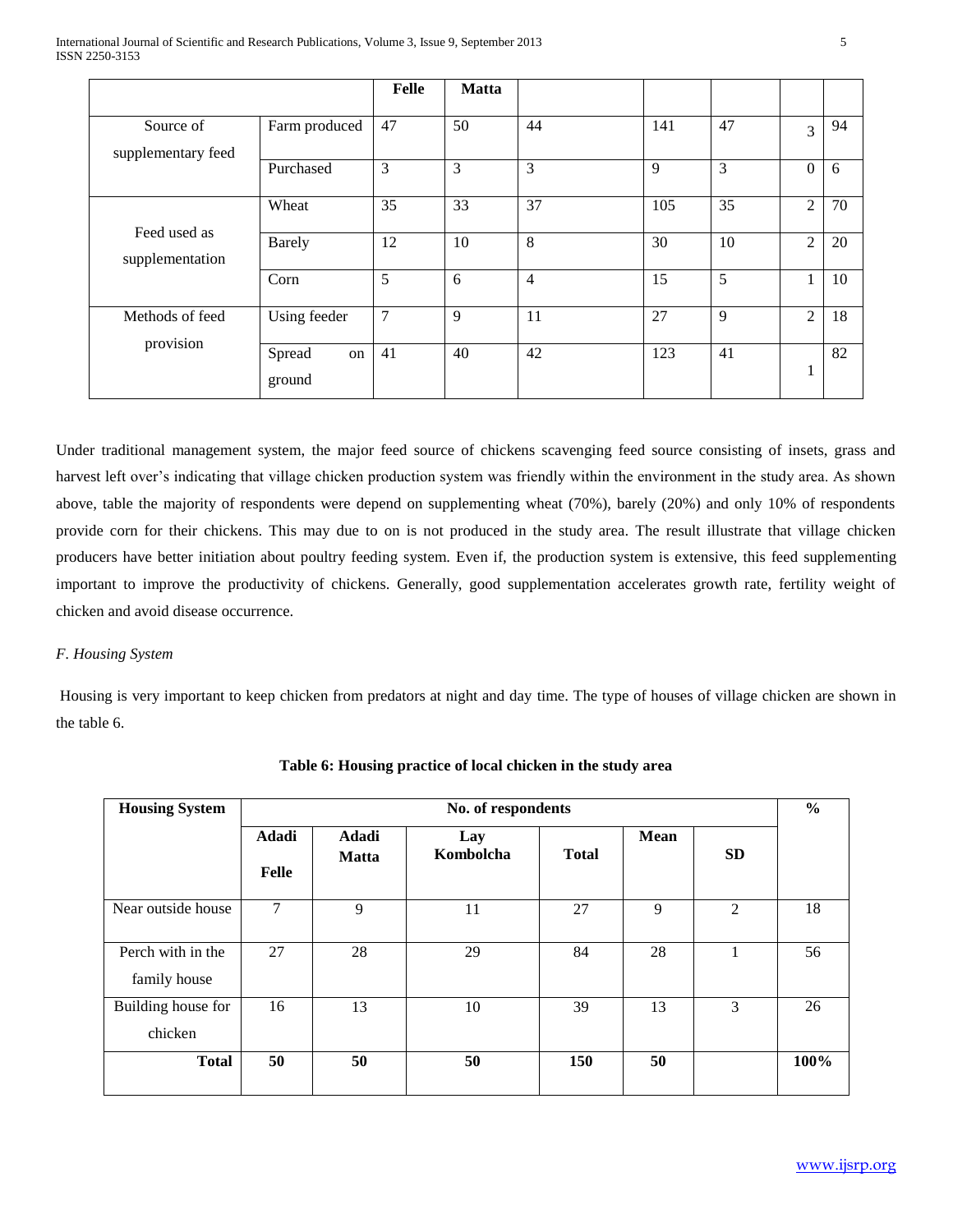|                                 |                        | Felle | <b>Matta</b> |                |     |    |                |    |
|---------------------------------|------------------------|-------|--------------|----------------|-----|----|----------------|----|
| Source of<br>supplementary feed | Farm produced          | 47    | 50           | 44             | 141 | 47 | 3              | 94 |
|                                 | Purchased              | 3     | 3            | 3              | 9   | 3  | $\theta$       | 6  |
| Feed used as<br>supplementation | Wheat                  | 35    | 33           | 37             | 105 | 35 | $\overline{2}$ | 70 |
|                                 | <b>Barely</b>          | 12    | 10           | 8              | 30  | 10 | $\overline{2}$ | 20 |
|                                 | Corn                   | 5     | 6            | $\overline{4}$ | 15  | 5  |                | 10 |
| Methods of feed                 | Using feeder           | 7     | 9            | 11             | 27  | 9  | $\overline{2}$ | 18 |
| provision                       | Spread<br>on<br>ground | 41    | 40           | 42             | 123 | 41 | -1<br>-1       | 82 |

Under traditional management system, the major feed source of chickens scavenging feed source consisting of insets, grass and harvest left over's indicating that village chicken production system was friendly within the environment in the study area. As shown above, table the majority of respondents were depend on supplementing wheat (70%), barely (20%) and only 10% of respondents provide corn for their chickens. This may due to on is not produced in the study area. The result illustrate that village chicken producers have better initiation about poultry feeding system. Even if, the production system is extensive, this feed supplementing important to improve the productivity of chickens. Generally, good supplementation accelerates growth rate, fertility weight of chicken and avoid disease occurrence.

## *F. Housing System*

Housing is very important to keep chicken from predators at night and day time. The type of houses of village chicken are shown in the table 6.

| <b>Housing System</b>             | No. of respondents           |                       |                  |              |             |           |      |  |  |
|-----------------------------------|------------------------------|-----------------------|------------------|--------------|-------------|-----------|------|--|--|
|                                   | <b>Adadi</b><br><b>Felle</b> | Adadi<br><b>Matta</b> | Lay<br>Kombolcha | <b>Total</b> | <b>Mean</b> | <b>SD</b> |      |  |  |
| Near outside house                | 7                            | 9                     | 11               | 27           | 9           | 2         | 18   |  |  |
| Perch with in the<br>family house | 27                           | 28                    | 29               | 84           | 28          | 1         | 56   |  |  |
| Building house for<br>chicken     | 16                           | 13                    | 10               | 39           | 13          | 3         | 26   |  |  |
| <b>Total</b>                      | 50                           | 50                    | 50               | <b>150</b>   | 50          |           | 100% |  |  |

**Table 6: Housing practice of local chicken in the study area**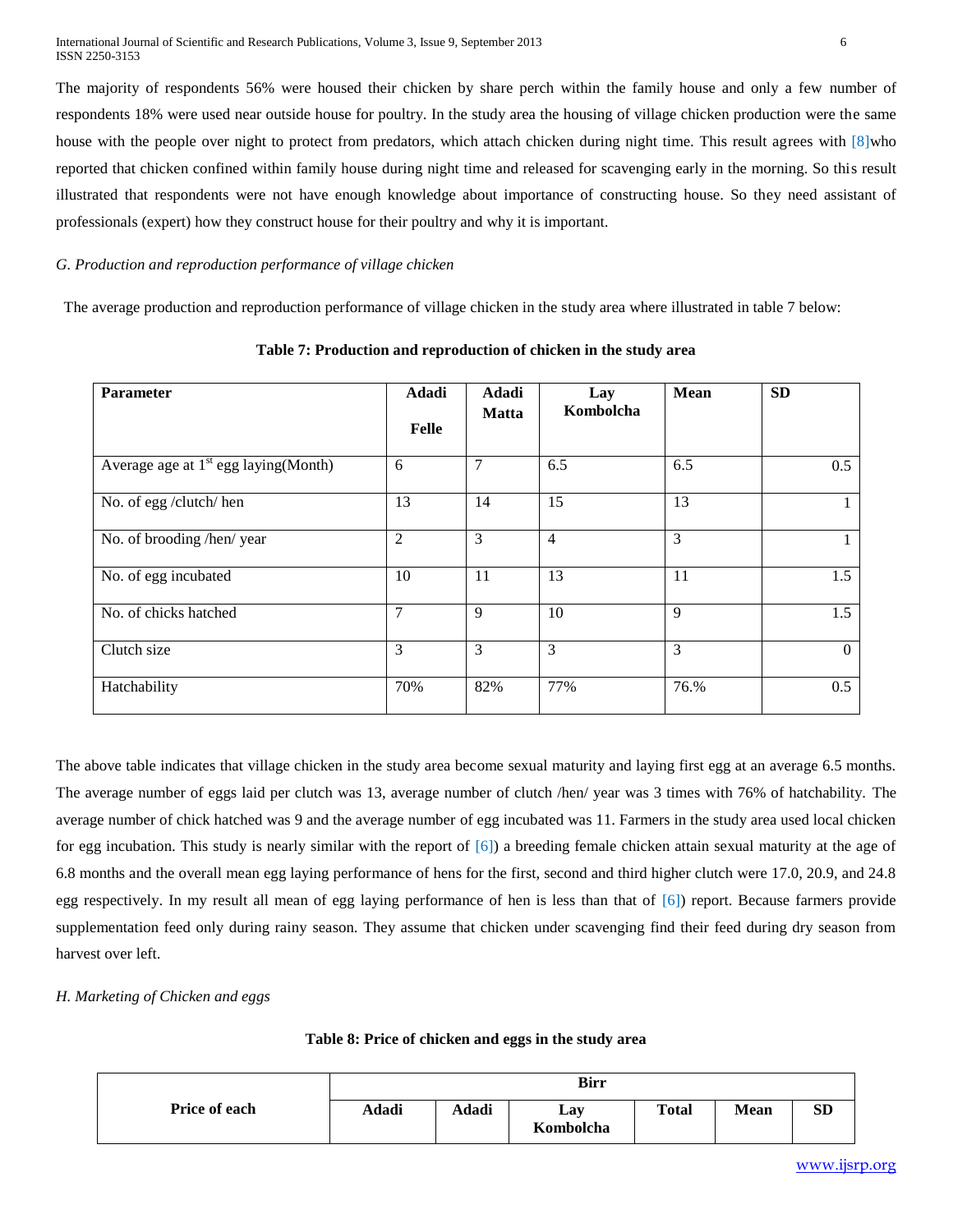The majority of respondents 56% were housed their chicken by share perch within the family house and only a few number of respondents 18% were used near outside house for poultry. In the study area the housing of village chicken production were the same house with the people over night to protect from predators, which attach chicken during night time. This result agrees with [8]who reported that chicken confined within family house during night time and released for scavenging early in the morning. So this result illustrated that respondents were not have enough knowledge about importance of constructing house. So they need assistant of professionals (expert) how they construct house for their poultry and why it is important.

## *G. Production and reproduction performance of village chicken*

The average production and reproduction performance of village chicken in the study area where illustrated in table 7 below:

| Parameter                               | Adadi<br><b>Felle</b> | Adadi<br><b>Matta</b> | Lay<br>Kombolcha | Mean | <b>SD</b>      |
|-----------------------------------------|-----------------------|-----------------------|------------------|------|----------------|
| Average age at $1st$ egg laying (Month) | 6                     | $\overline{7}$        | 6.5              | 6.5  | 0.5            |
| No. of egg /clutch/ hen                 | 13                    | 14                    | 15               | 13   |                |
| No. of brooding /hen/ year              | $\overline{2}$        | 3                     | $\overline{4}$   | 3    | 1              |
| No. of egg incubated                    | 10                    | 11                    | 13               | 11   | 1.5            |
| No. of chicks hatched                   | $\overline{7}$        | 9                     | 10               | 9    | 1.5            |
| Clutch size                             | 3                     | 3                     | 3                | 3    | $\overline{0}$ |
| Hatchability                            | 70%                   | 82%                   | 77%              | 76.% | 0.5            |

**Table 7: Production and reproduction of chicken in the study area**

The above table indicates that village chicken in the study area become sexual maturity and laying first egg at an average 6.5 months. The average number of eggs laid per clutch was 13, average number of clutch /hen/ year was 3 times with 76% of hatchability. The average number of chick hatched was 9 and the average number of egg incubated was 11. Farmers in the study area used local chicken for egg incubation. This study is nearly similar with the report of [6]) a breeding female chicken attain sexual maturity at the age of 6.8 months and the overall mean egg laying performance of hens for the first, second and third higher clutch were 17.0, 20.9, and 24.8 egg respectively. In my result all mean of egg laying performance of hen is less than that of [6]) report. Because farmers provide supplementation feed only during rainy season. They assume that chicken under scavenging find their feed during dry season from harvest over left.

*H. Marketing of Chicken and eggs* 

|                      | Birr  |       |                  |              |             |           |
|----------------------|-------|-------|------------------|--------------|-------------|-----------|
| <b>Price of each</b> | Adadi | Adadi | Lay<br>Kombolcha | <b>Total</b> | <b>Mean</b> | <b>SD</b> |

#### **Table 8: Price of chicken and eggs in the study area**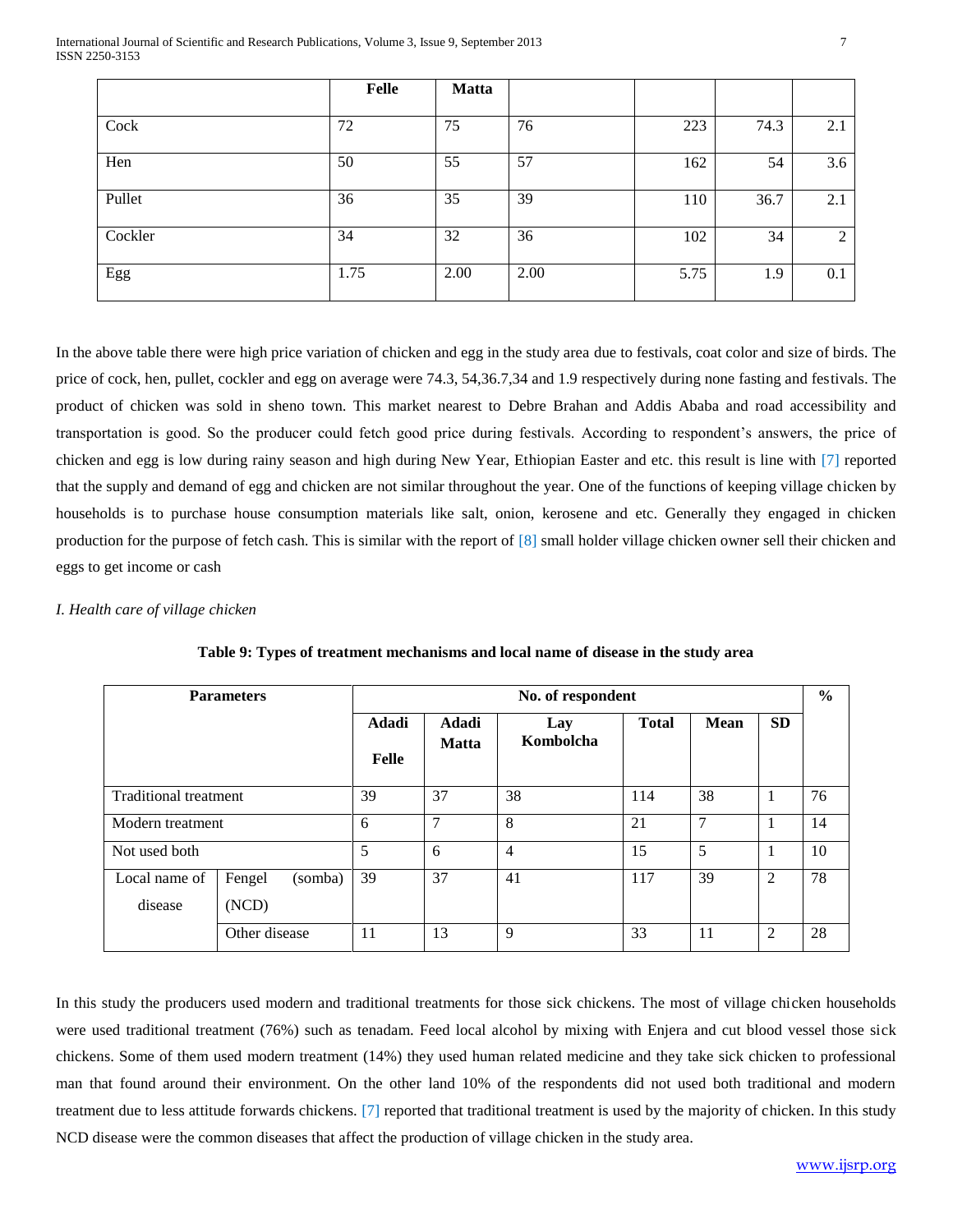|         | Felle | <b>Matta</b> |      |      |      |     |
|---------|-------|--------------|------|------|------|-----|
| Cock    | 72    | 75           | 76   | 223  | 74.3 | 2.1 |
| Hen     | 50    | 55           | 57   | 162  | 54   | 3.6 |
| Pullet  | 36    | 35           | 39   | 110  | 36.7 | 2.1 |
| Cockler | 34    | 32           | 36   | 102  | 34   | 2   |
| Egg     | 1.75  | 2.00         | 2.00 | 5.75 | 1.9  | 0.1 |

In the above table there were high price variation of chicken and egg in the study area due to festivals, coat color and size of birds. The price of cock, hen, pullet, cockler and egg on average were 74.3, 54,36.7,34 and 1.9 respectively during none fasting and festivals. The product of chicken was sold in sheno town. This market nearest to Debre Brahan and Addis Ababa and road accessibility and transportation is good. So the producer could fetch good price during festivals. According to respondent's answers, the price of chicken and egg is low during rainy season and high during New Year, Ethiopian Easter and etc. this result is line with [7] reported that the supply and demand of egg and chicken are not similar throughout the year. One of the functions of keeping village chicken by households is to purchase house consumption materials like salt, onion, kerosene and etc. Generally they engaged in chicken production for the purpose of fetch cash. This is similar with the report of [8] small holder village chicken owner sell their chicken and eggs to get income or cash

### *I. Health care of village chicken*

|                              | <b>Parameters</b>          | No. of respondent |                       |                  |              |             |                | $\frac{6}{6}$ |
|------------------------------|----------------------------|-------------------|-----------------------|------------------|--------------|-------------|----------------|---------------|
|                              |                            | Adadi<br>Felle    | Adadi<br><b>Matta</b> | Lay<br>Kombolcha | <b>Total</b> | <b>Mean</b> | <b>SD</b>      |               |
| <b>Traditional treatment</b> | 39                         | 37                | 38                    | 114              | 38           |             | 76             |               |
| Modern treatment             | 6                          | 7                 | 8                     | 21               | 7            |             | 14             |               |
| Not used both                | 5                          | 6                 | $\overline{4}$        | 15               | 5            |             | 10             |               |
| Local name of<br>disease     | Fengel<br>(somba)<br>(NCD) | 39                | 37                    | 41               | 117          | 39          | $\overline{c}$ | 78            |
|                              | Other disease              | -11               | 13                    | 9                | 33           | 11          | $\overline{c}$ | 28            |

**Table 9: Types of treatment mechanisms and local name of disease in the study area**

In this study the producers used modern and traditional treatments for those sick chickens. The most of village chicken households were used traditional treatment (76%) such as tenadam. Feed local alcohol by mixing with Enjera and cut blood vessel those sick chickens. Some of them used modern treatment (14%) they used human related medicine and they take sick chicken to professional man that found around their environment. On the other land 10% of the respondents did not used both traditional and modern treatment due to less attitude forwards chickens. [7] reported that traditional treatment is used by the majority of chicken. In this study NCD disease were the common diseases that affect the production of village chicken in the study area.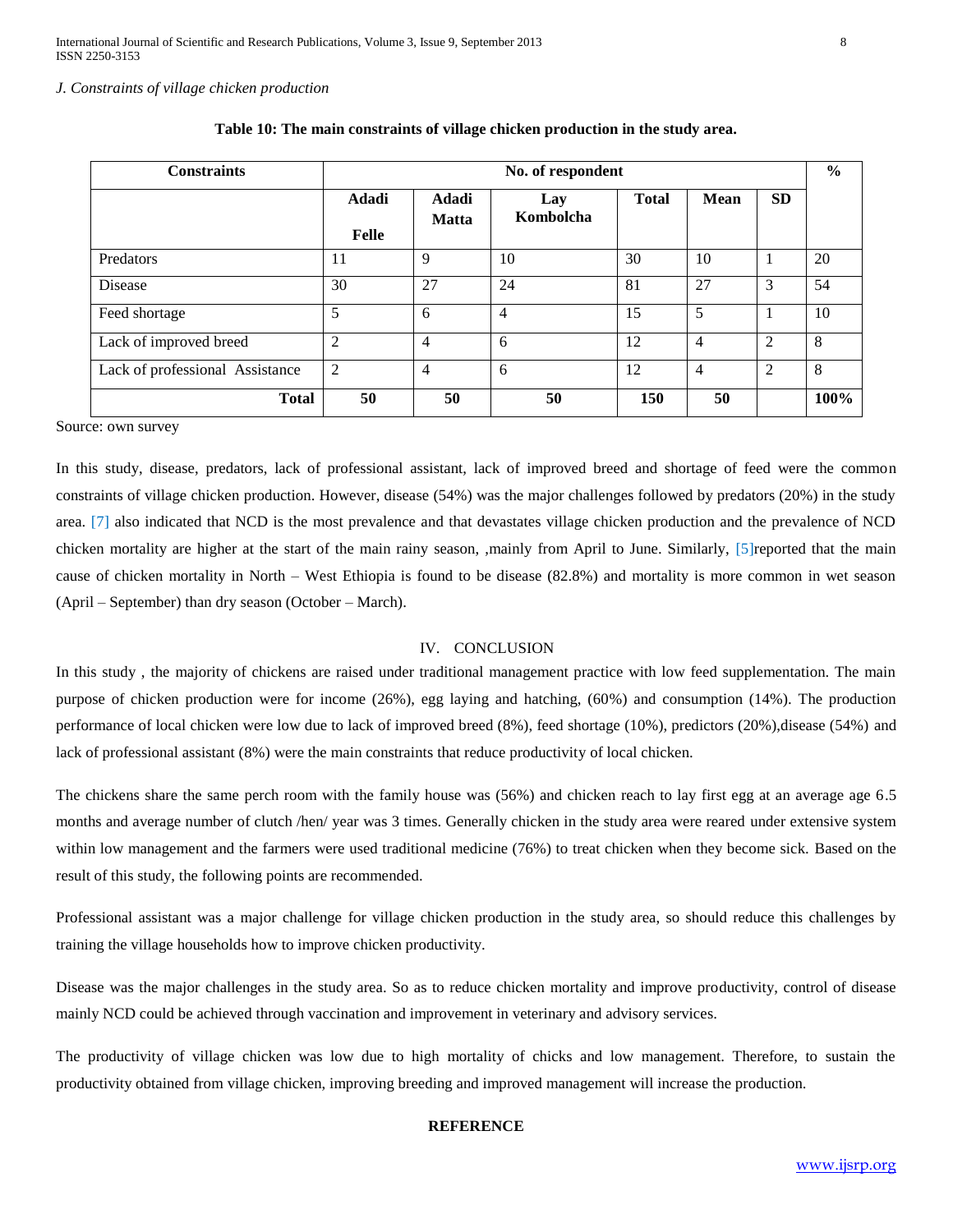#### *J. Constraints of village chicken production*

| <b>Constraints</b>              | No. of respondent     |                       |                  |              |                |                | $\frac{6}{9}$ |
|---------------------------------|-----------------------|-----------------------|------------------|--------------|----------------|----------------|---------------|
|                                 | Adadi<br><b>Felle</b> | Adadi<br><b>Matta</b> | Lay<br>Kombolcha | <b>Total</b> | <b>Mean</b>    | <b>SD</b>      |               |
| Predators                       | 11                    | 9                     | 10               | 30           | 10             |                | 20            |
| Disease                         | 30                    | 27                    | 24               | 81           | 27             | 3              | 54            |
| Feed shortage                   | 5                     | 6                     | $\overline{4}$   | 15           | 5              |                | 10            |
| Lack of improved breed          | 2                     | $\overline{4}$        | 6                | 12           | $\overline{4}$ | $\overline{2}$ | 8             |
| Lack of professional Assistance | 2                     | $\overline{4}$        | 6                | 12           | $\overline{4}$ | 2              | 8             |
| <b>Total</b>                    | 50                    | 50                    | 50               | 150          | 50             |                | 100%          |

|  |  | Table 10: The main constraints of village chicken production in the study area. |  |  |  |
|--|--|---------------------------------------------------------------------------------|--|--|--|
|  |  |                                                                                 |  |  |  |

Source: own survey

In this study, disease, predators, lack of professional assistant, lack of improved breed and shortage of feed were the common constraints of village chicken production. However, disease (54%) was the major challenges followed by predators (20%) in the study area. [7] also indicated that NCD is the most prevalence and that devastates village chicken production and the prevalence of NCD chicken mortality are higher at the start of the main rainy season, ,mainly from April to June. Similarly, [5]reported that the main cause of chicken mortality in North – West Ethiopia is found to be disease (82.8%) and mortality is more common in wet season (April – September) than dry season (October – March).

#### IV. CONCLUSION

In this study , the majority of chickens are raised under traditional management practice with low feed supplementation. The main purpose of chicken production were for income (26%), egg laying and hatching, (60%) and consumption (14%). The production performance of local chicken were low due to lack of improved breed (8%), feed shortage (10%), predictors (20%),disease (54%) and lack of professional assistant (8%) were the main constraints that reduce productivity of local chicken.

The chickens share the same perch room with the family house was (56%) and chicken reach to lay first egg at an average age 6.5 months and average number of clutch /hen/ year was 3 times. Generally chicken in the study area were reared under extensive system within low management and the farmers were used traditional medicine (76%) to treat chicken when they become sick. Based on the result of this study, the following points are recommended.

Professional assistant was a major challenge for village chicken production in the study area, so should reduce this challenges by training the village households how to improve chicken productivity.

Disease was the major challenges in the study area. So as to reduce chicken mortality and improve productivity, control of disease mainly NCD could be achieved through vaccination and improvement in veterinary and advisory services.

The productivity of village chicken was low due to high mortality of chicks and low management. Therefore, to sustain the productivity obtained from village chicken, improving breeding and improved management will increase the production.

#### **REFERENCE**